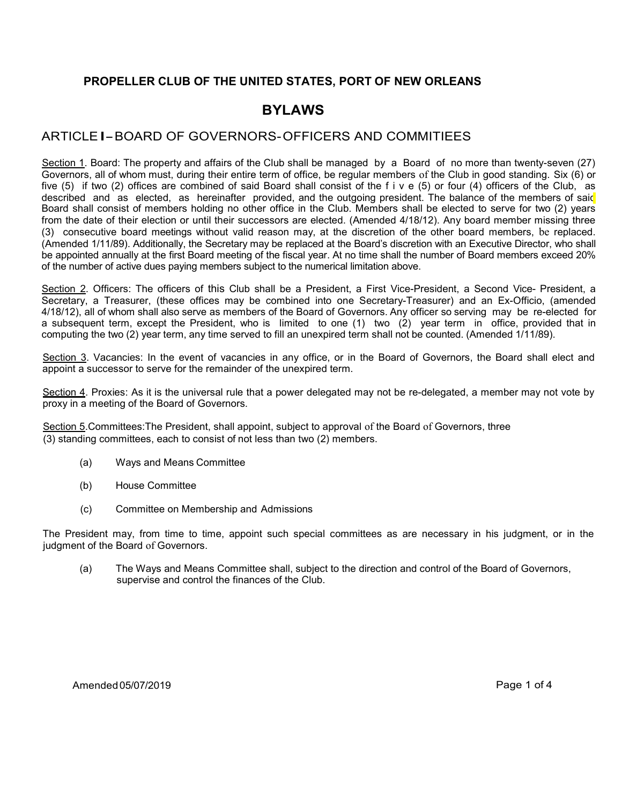#### PROPELLER CLUB OF THE UNITED STATES, PORT OF NEW ORLEANS

# BYLAWS

### ARTICLE I- BOARD OF GOVERNORS- OFFICERS AND COMMITIEES

Section 1. Board: The property and affairs of the Club shall be managed by a Board of no more than twenty-seven (27) Governors, all of whom must, during their entire term of office, be regular members of the Club in good standing. Six (6) or five (5) if two (2) offices are combined of said Board shall consist of the f i v e (5) or four (4) officers of the Club, as described and as elected, as hereinafter provided, and the outgoing president. The balance of the members of said Board shall consist of members holding no other office in the Club. Members shall be elected to serve for two (2) years from the date of their election or until their successors are elected. (Amended 4/18/12). Any board member missing three (3) consecutive board meetings without valid reason may, at the discretion of the other board members, be replaced. (Amended 1/11/89). Additionally, the Secretary may be replaced at the Board's discretion with an Executive Director, who shall be appointed annually at the first Board meeting of the fiscal year. At no time shall the number of Board members exceed 20% of the number of active dues paying members subject to the numerical limitation above.

Section 2. Officers: The officers of this Club shall be a President, a First Vice-President, a Second Vice- President, a Secretary, a Treasurer, (these offices may be combined into one Secretary-Treasurer) and an Ex-Officio, (amended 4/18/12), all of whom shall also serve as members of the Board of Governors. Any officer so serving may be re-elected for a subsequent term, except the President, who is limited to one (1) two (2) year term in office, provided that in computing the two (2) year term, any time served to fill an unexpired term shall not be counted. (Amended 1/11/89).

Section 3. Vacancies: In the event of vacancies in any office, or in the Board of Governors, the Board shall elect and appoint a successor to serve for the remainder of the unexpired term.

Section 4. Proxies: As it is the universal rule that a power delegated may not be re-delegated, a member may not vote by proxy in a meeting of the Board of Governors.

Section 5. Committees: The President, shall appoint, subject to approval of the Board of Governors, three (3) standing committees, each to consist of not less than two (2) members.

- (a) Ways and Means Committee
- (b) House Committee
- (c) Committee on Membership and Admissions

The President may, from time to time, appoint such special committees as are necessary in his judgment, or in the judgment of the Board of Governors.

(a) The Ways and Means Committee shall, subject to the direction and control of the Board of Governors, supervise and control the finances of the Club.

Amended 05/07/2019 Page 1 of 4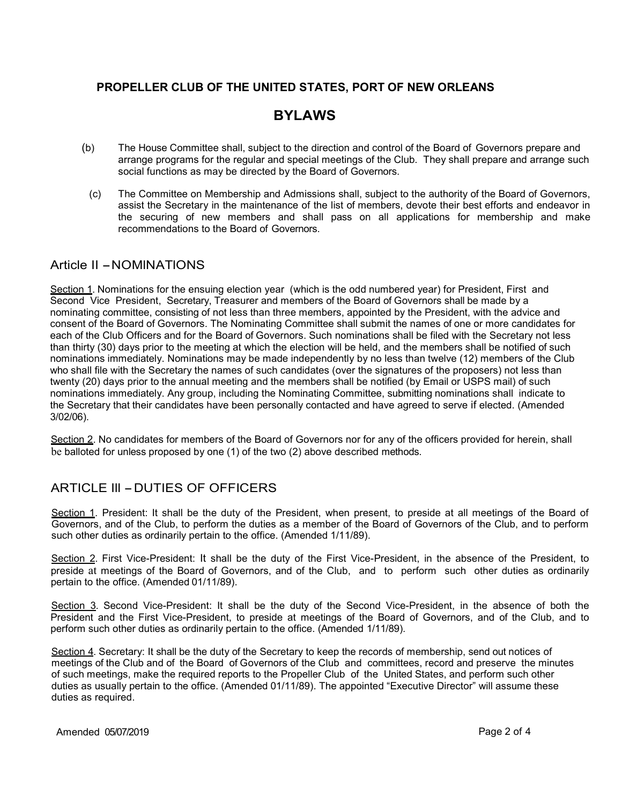#### PROPELLER CLUB OF THE UNITED STATES, PORT OF NEW ORLEANS

# BYLAWS

- (b) The House Committee shall, subject to the direction and control of the Board of Governors prepare and arrange programs for the regular and special meetings of the Club. They shall prepare and arrange such social functions as may be directed by the Board of Governors.
	- (c) The Committee on Membership and Admissions shall, subject to the authority of the Board of Governors, assist the Secretary in the maintenance of the list of members, devote their best efforts and endeavor in the securing of new members and shall pass on all applications for membership and make recommendations to the Board of Governors.

#### Article II - NOMINATIONS

Section 1. Nominations for the ensuing election year (which is the odd numbered year) for President, First and Second Vice President, Secretary, Treasurer and members of the Board of Governors shall be made by a nominating committee, consisting of not less than three members, appointed by the President, with the advice and consent of the Board of Governors. The Nominating Committee shall submit the names of one or more candidates for each of the Club Officers and for the Board of Governors. Such nominations shall be filed with the Secretary not less than thirty (30) days prior to the meeting at which the election will be held, and the members shall be notified of such nominations immediately. Nominations may be made independently by no less than twelve (12) members of the Club who shall file with the Secretary the names of such candidates (over the signatures of the proposers) not less than twenty (20) days prior to the annual meeting and the members shall be notified (by Email or USPS mail) of such nominations immediately. Any group, including the Nominating Committee, submitting nominations shall indicate to the Secretary that their candidates have been personally contacted and have agreed to serve if elected. (Amended 3/02/06).

Section 2. No candidates for members of the Board of Governors nor for any of the officers provided for herein, shall be balloted for unless proposed by one (1) of the two (2) above described methods.

# ARTICLE III - DUTIES OF OFFICERS

Section 1. President: It shall be the duty of the President, when present, to preside at all meetings of the Board of Governors, and of the Club, to perform the duties as a member of the Board of Governors of the Club, and to perform such other duties as ordinarily pertain to the office. (Amended 1/11/89).

Section 2. First Vice-President: It shall be the duty of the First Vice-President, in the absence of the President, to preside at meetings of the Board of Governors, and of the Club, and to perform such other duties as ordinarily pertain to the office. (Amended 01/11/89).

Section 3. Second Vice-President: It shall be the duty of the Second Vice-President, in the absence of both the President and the First Vice-President, to preside at meetings of the Board of Governors, and of the Club, and to perform such other duties as ordinarily pertain to the office. (Amended 1/11/89).

Section 4. Secretary: It shall be the duty of the Secretary to keep the records of membership, send out notices of meetings of the Club and of the Board of Governors of the Club and committees, record and preserve the minutes of such meetings, make the required reports to the Propeller Club of the United States, and perform such other duties as usually pertain to the office. (Amended 01/11/89). The appointed "Executive Director" will assume these duties as required.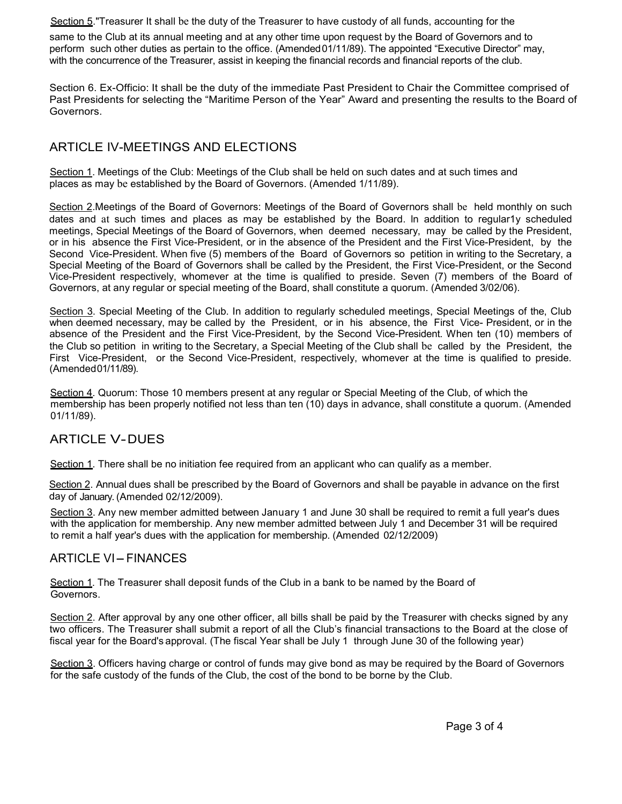Section 5."Treasurer It shall be the duty of the Treasurer to have custody of all funds, accounting for the

same to the Club at its annual meeting and at any other time upon request by the Board of Governors and to perform such other duties as pertain to the office. (Amended 01/11/89). The appointed "Executive Director" may, with the concurrence of the Treasurer, assist in keeping the financial records and financial reports of the club.

Section 6. Ex-Officio: It shall be the duty of the immediate Past President to Chair the Committee comprised of Past Presidents for selecting the "Maritime Person of the Year" Award and presenting the results to the Board of Governors.

## ARTICLE IV-MEETINGS AND ELECTIONS

Section 1. Meetings of the Club: Meetings of the Club shall be held on such dates and at such times and places as may be established by the Board of Governors. (Amended 1/11/89).

Section 2.Meetings of the Board of Governors: Meetings of the Board of Governors shall be held monthly on such dates and at such times and places as may be established by the Board. ln addition to regular1y scheduled meetings, Special Meetings of the Board of Governors, when deemed necessary, may be called by the President, or in his absence the First Vice-President, or in the absence of the President and the First Vice-President, by the Second Vice-President. When five (5) members of the Board of Governors so petition in writing to the Secretary, a Special Meeting of the Board of Governors shall be called by the President, the First Vice-President, or the Second Vice-President respectively, whomever at the time is qualified to preside. Seven (7) members of the Board of Governors, at any regular or special meeting of the Board, shall constitute a quorum. (Amended 3/02/06).

Section 3. Special Meeting of the Club. In addition to regularly scheduled meetings, Special Meetings of the, Club when deemed necessary, may be called by the President, or in his absence, the First Vice- President, or in the absence of the President and the First Vice-President, by the Second Vice-President. When ten (10) members of the Club so petition in writing to the Secretary, a Special Meeting of the Club shall be called by the President, the First Vice-President, or the Second Vice-President, respectively, whomever at the time is qualified to preside. (Amended 01/11/89).

Section 4. Quorum: Those 10 members present at any regular or Special Meeting of the Club, of which the membership has been properly notified not less than ten (10) days in advance, shall constitute a quorum. (Amended 01/11/89).

#### ARTICLE V- DUES

Section 1. There shall be no initiation fee required from an applicant who can qualify as a member.

Section 2. Annual dues shall be prescribed by the Board of Governors and shall be payable in advance on the first day of January. (Amended 02/12/2009).

Section 3. Any new member admitted between January 1 and June 30 shall be required to remit a full year's dues with the application for membership. Any new member admitted between July 1 and December 31 will be required to remit a half year's dues with the application for membership. (Amended 02/12/2009)

#### **ARTICLE VI-FINANCES**

Section 1. The Treasurer shall deposit funds of the Club in a bank to be named by the Board of Governors.

Section 2. After approval by any one other officer, all bills shall be paid by the Treasurer with checks signed by any two officers. The Treasurer shall submit a report of all the Club's financial transactions to the Board at the close of fiscal year for the Board's approval. (The fiscal Year shall be July 1 through June 30 of the following year)

Section 3. Officers having charge or control of funds may give bond as may be required by the Board of Governors for the safe custody of the funds of the Club, the cost of the bond to be borne by the Club.